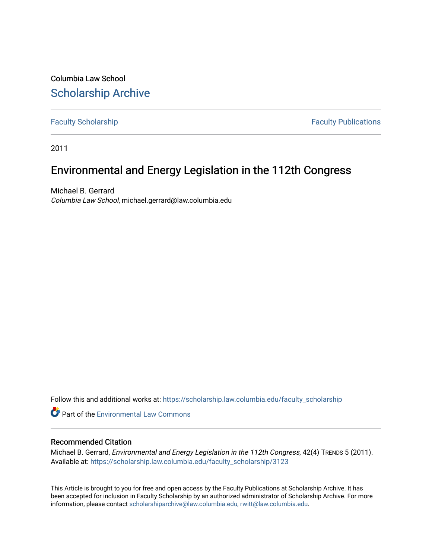Columbia Law School [Scholarship Archive](https://scholarship.law.columbia.edu/) 

[Faculty Scholarship](https://scholarship.law.columbia.edu/faculty_scholarship) **Faculty Scholarship Faculty Publications** 

2011

## Environmental and Energy Legislation in the 112th Congress

Michael B. Gerrard Columbia Law School, michael.gerrard@law.columbia.edu

Follow this and additional works at: [https://scholarship.law.columbia.edu/faculty\\_scholarship](https://scholarship.law.columbia.edu/faculty_scholarship?utm_source=scholarship.law.columbia.edu%2Ffaculty_scholarship%2F3123&utm_medium=PDF&utm_campaign=PDFCoverPages)

**C** Part of the [Environmental Law Commons](http://network.bepress.com/hgg/discipline/599?utm_source=scholarship.law.columbia.edu%2Ffaculty_scholarship%2F3123&utm_medium=PDF&utm_campaign=PDFCoverPages)

## Recommended Citation

Michael B. Gerrard, Environmental and Energy Legislation in the 112th Congress, 42(4) TRENDS 5 (2011). Available at: [https://scholarship.law.columbia.edu/faculty\\_scholarship/3123](https://scholarship.law.columbia.edu/faculty_scholarship/3123?utm_source=scholarship.law.columbia.edu%2Ffaculty_scholarship%2F3123&utm_medium=PDF&utm_campaign=PDFCoverPages)

This Article is brought to you for free and open access by the Faculty Publications at Scholarship Archive. It has been accepted for inclusion in Faculty Scholarship by an authorized administrator of Scholarship Archive. For more information, please contact [scholarshiparchive@law.columbia.edu, rwitt@law.columbia.edu](mailto:scholarshiparchive@law.columbia.edu,%20rwitt@law.columbia.edu).